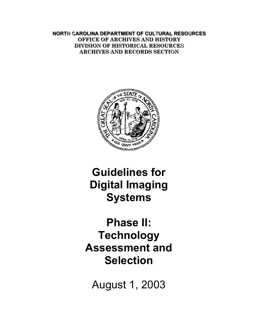**NORTH CAROLINA DEPARTMENT OF CULTURAL RESOURCES OFFICE OF ARCHIVES AND HISTORY DIVISION OF HISTORICAL RESOURCES ARCHIVES AND RECORDS SECTION** 



# **Guidelines for Digital Imaging Systems**

**Phase II: Technology Assessment and Selection** 

August 1, 2003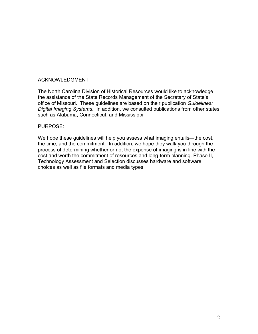#### ACKNOWLEDGMENT

The North Carolina Division of Historical Resources would like to acknowledge the assistance of the State Records Management of the Secretary of State's office of Missouri. These guidelines are based on their publication *Guidelines: Digital Imaging Systems*. In addition, we consulted publications from other states such as Alabama, Connecticut, and Mississippi.

#### PURPOSE:

We hope these guidelines will help you assess what imaging entails—the cost, the time, and the commitment. In addition, we hope they walk you through the process of determining whether or not the expense of imaging is in line with the cost and worth the commitment of resources and long-term planning. Phase II, Technology Assessment and Selection discusses hardware and software choices as well as file formats and media types.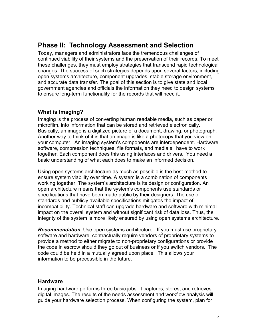# <span id="page-3-0"></span>**Phase II: Technology Assessment and Selection**

Today, managers and administrators face the tremendous challenges of continued viability of their systems and the preservation of their records. To meet these challenges, they must employ strategies that transcend rapid technological changes. The success of such strategies depends upon several factors, including open systems architecture, component upgrades, stable storage environment, and accurate data transfer. The goal of this section is to give state and local government agencies and officials the information they need to design systems to ensure long-term functionality for the records that will need it.

# **What is Imaging?**

Imaging is the process of converting human readable media, such as paper or microfilm, into information that can be stored and retrieved electronically. Basically, an image is a digitized picture of a document, drawing, or photograph. Another way to think of it is that an image is like a photocopy that you view on your computer. An imaging system's components are interdependent. Hardware, software, compression techniques, file formats, and media all have to work together. Each component does this using interfaces and drivers. You need a basic understanding of what each does to make an informed decision.

Using open systems architecture as much as possible is the best method to ensure system viability over time. A system is a combination of components working together. The system's architecture is its design or configuration. An open architecture means that the system's components use standards or specifications that have been made public by their designers. The use of standards and publicly available specifications mitigates the impact of incompatibility. Technical staff can upgrade hardware and software with minimal impact on the overall system and without significant risk of data loss. Thus, the integrity of the system is more likely ensured by using open systems architecture.

*Recommendation:* Use open systems architecture. If you must use proprietary software and hardware, contractually require vendors of proprietary systems to provide a method to either migrate to non-proprietary configurations or provide the code in escrow should they go out of business or if you switch vendors. The code could be held in a mutually agreed upon place. This allows your information to be processible in the future.

## **Hardware**

Imaging hardware performs three basic jobs. It captures, stores, and retrieves digital images. The results of the needs assessment and workflow analysis will guide your hardware selection process. When configuring the system, plan for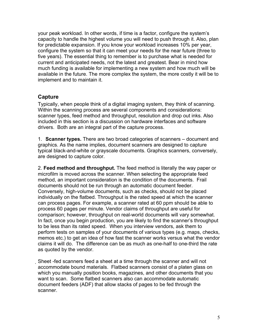<span id="page-4-0"></span>your peak workload. In other words, if time is a factor, configure the system's capacity to handle the highest volume you will need to push through it. Also, plan for predictable expansion. If you know your workload increases 10% per year, configure the system so that it can meet your needs for the near future (three to five years). The essential thing to remember is to purchase what is needed for current and anticipated needs, not the latest and greatest. Bear in mind how much funding is available for implementing a new system and how much will be available in the future. The more complex the system, the more costly it will be to implement and to maintain it.

# **Capture**

Typically, when people think of a digital imaging system, they think of scanning. Within the scanning process are several components and considerations: scanner types, feed method and throughput, resolution and drop out inks. Also included in this section is a discussion on hardware interfaces and software drivers. Both are an integral part of the capture process.

1. **Scanner types.** There are two broad categories of scanners – document and graphics. As the name implies, document scanners are designed to capture typical black-and-white or grayscale documents. Graphics scanners, conversely, are designed to capture color.

2. **Feed method and throughput.** The feed method is literally the way paper or microfilm is moved across the scanner. When selecting the appropriate feed method, an important consideration is the condition of the documents. Frail documents should not be run through an automatic document feeder. Conversely, high-volume documents, such as checks, should not be placed individually on the flatbed. Throughput is the rated speed at which the scanner can process pages. For example, a scanner rated at 60 ppm should be able to process 60 pages per minute. Vendor claims of throughput are useful for comparison; however, throughput on real-world documents will vary somewhat. In fact, once you begin production, you are likely to find the scanner's throughput to be less than its rated speed. When you interview vendors, ask them to perform tests on samples of your documents of various types (e.g. maps, checks, memos etc.) to get an idea of how fast the scanner works versus what the vendor claims it will do. The difference can be as much as one-half to one-third the rate as quoted by the vendor.

Sheet -fed scanners feed a sheet at a time through the scanner and will not accommodate bound materials. Flatbed scanners consist of a platen glass on which you manually position books, magazines, and other documents that you want to scan. Some flatbed scanners also can accommodate automatic document feeders (ADF) that allow stacks of pages to be fed through the scanner.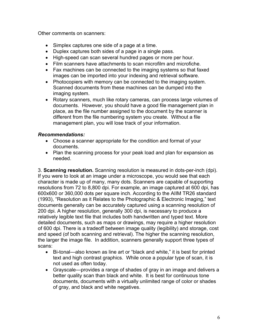Other comments on scanners:

- Simplex captures one side of a page at a time.
- Duplex captures both sides of a page in a single pass.
- High-speed can scan several hundred pages or more per hour.
- Film scanners have attachments to scan microfilm and microfiche.
- Fax machines can be connected to the imaging systems so that faxed images can be imported into your indexing and retrieval software.
- Photocopiers with memory can be connected to the imaging system. Scanned documents from these machines can be dumped into the imaging system.
- Rotary scanners, much like rotary cameras, can process large volumes of documents. However, you should have a good file management plan in place, as the file number assigned to the document by the scanner is different from the file numbering system you create. Without a file management plan, you will lose track of your information.

## *Recommendations:*

- Choose a scanner appropriate for the condition and format of your documents.
- Plan the scanning process for your peak load and plan for expansion as needed.

3. **Scanning resolution.** Scanning resolution is measured in dots-per-inch (dpi). If you were to look at an image under a microscope, you would see that each character is made up of many, many dots. Scanners are capable of supporting resolutions from 72 to 8,800 dpi. For example, an image captured at 600 dpi, has 600x600 or 360,000 dots per square inch. According to the AIIM TR26 standard (1993), "Resolution as it Relates to the Photographic & Electronic Imaging," text documents generally can be accurately captured using a scanning resolution of 200 dpi. A higher resolution, generally 300 dpi, is necessary to produce a relatively legible text file that includes both handwritten and typed text. More detailed documents, such as maps or drawings, may require a higher resolution of 600 dpi. There is a tradeoff between image quality (legibility) and storage, cost and speed (of both scanning and retrieval). The higher the scanning resolution, the larger the image file. In addition, scanners generally support three types of scans:

- Bi-tonal—also known as line art or "black and white," it is best for printed text and high contrast graphics. While once a popular type of scan, it is not used as often today.
- Grayscale—provides a range of shades of gray in an image and delivers a better quality scan than black and white. It is best for continuous tone documents, documents with a virtually unlimited range of color or shades of gray, and black and white negatives.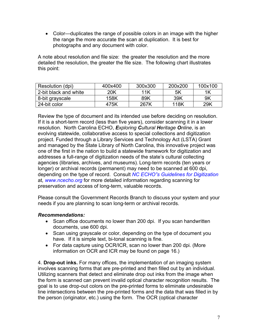• Color—duplicates the range of possible colors in an image with the higher the range the more accurate the scan at duplication. It is best for photographs and any document with color.

A note about resolution and file size: the greater the resolution and the more detailed the resolution, the greater the file size. The following chart illustrates this point:

| Resolution (dpi)      | 400x400 | 300x300 | 200x200 | 100x100 |
|-----------------------|---------|---------|---------|---------|
| 2-bit black and white | 20K     | 11K     | 5K      | 1K      |
| 8-bit grayscale       | 158K    | 89K     | 39K     | 9K      |
| 24-bit color          | 475K    | 267K    | 118K    | 29K     |

Review the type of document and its intended use before deciding on resolution. If it is a short-term record (less than five years), consider scanning it in a lower resolution. North Carolina ECHO, *Exploring Cultural Heritage Online*, is an evolving statewide, collaborative access to special collections and digitization project. Funded through a Library Services and Technology Act (LSTA) Grant and managed by the State Library of North Carolina, this innovative project was one of the first in the nation to build a statewide framework for digitization and addresses a full-range of digitization needs of the state's cultural collecting agencies (libraries, archives, and museums). Long-term records (ten years or longer) or archival records (permanent) may need to be scanned at 600 dpi, depending on the type of record. Consult *[NC ECHO"s Guidelines for Digitization](http://www.ncecho.org/)* at*, [www.ncecho.org](http://www.ncecho.org/)* for more detailed information regarding scanning for preservation and access of long-term, valuable records.

Please consult the Government Records Branch to discuss your system and your needs if you are planning to scan long-term or archival records.

## *Recommendations:*

- Scan office documents no lower than 200 dpi. If you scan handwritten documents, use 600 dpi.
- Scan using grayscale or color, depending on the type of document you have. If it is simple text, bi-tonal scanning is fine.
- For data capture using OCR/ICR, scan no lower than 200 dpi. (More information on OCR and ICR may be found on page 16.)

4. **Drop-out inks.** For many offices, the implementation of an imaging system involves scanning forms that are pre-printed and then filled out by an individual. Utilizing scanners that detect and eliminate drop out inks from the image when the form is scanned can prevent invalid optical character recognition results. The goal is to use drop-out colors on the pre-printed forms to eliminate undesirable line intersections between the pre-printed forms and the data that was filled in by the person (originator, etc.) using the form. The OCR (optical character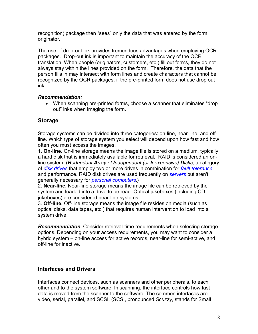<span id="page-7-0"></span>recognition) package then "sees" only the data that was entered by the form originator.

The use of drop-out ink provides tremendous advantages when employing OCR packages. Drop-out ink is important to maintain the accuracy of the OCR translation. When people (originators, customers, etc.) fill out forms, they do not always stay within the lines provided on the form. Therefore, the data that the person fills in may intersect with form lines and create characters that cannot be recognized by the OCR packages, if the pre-printed form does not use drop out ink.

# *Recommendation:*

• When scanning pre-printed forms, choose a scanner that eliminates "drop out" inks when imaging the form.

# **Storage**

Storage systems can be divided into three categories: on-line, near-line, and offline. Which type of storage system you select will depend upon how fast and how often you must access the images.

1. **On-line.** On-line storage means the image file is stored on a medium, typically a hard disk that is immediately available for retrieval. RAID is considered an online system. (*Redundant Array of Independent (or Inexpensive) Disks,* a category of *[disk drives](http://www.webopedia.com/TERM/R/disk_drive.html)* that employ two or more drives in combination for *[fault tolerance](http://www.webopedia.com/TERM/R/fault_tolerance.html)* and performance. RAID disk drives are used frequently on *[servers](http://www.webopedia.com/TERM/R/server.html)* but aren't generally necessary for *[personal computers](http://www.webopedia.com/TERM/R/personal_computer.html)*.)

2. **Near-line.** Near-line storage means the image file can be retrieved by the system and loaded into a drive to be read. Optical jukeboxes (including CD jukeboxes) are considered near-line systems.

3. **Off-line.** Off-line storage means the image file resides on media (such as optical disks, data tapes, etc.) that requires human intervention to load into a system drive.

*Recommendation*: Consider retrieval-time requirements when selecting storage options. Depending on your access requirements, you may want to consider a hybrid system – on-line access for active records, near-line for semi-active, and off-line for inactive.

# **Interfaces and Drivers**

Interfaces connect devices, such as scanners and other peripherals, to each other and to the system software. In scanning, the interface controls how fast data is moved from the scanner to the software. The common interfaces are video, serial, parallel, and SCSI. (SCSI, pronounced *Scuzzy*, stands for Small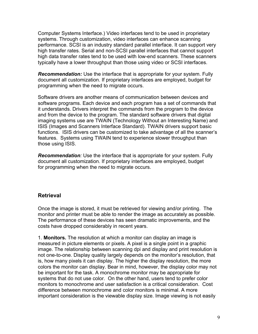<span id="page-8-0"></span>Computer Systems Interface.) Video interfaces tend to be used in proprietary systems. Through customization, video interfaces can enhance scanning performance. SCSI is an industry standard parallel interface. It can support very high transfer rates. Serial and non-SCSI parallel interfaces that cannot support high data transfer rates tend to be used with low-end scanners. These scanners typically have a lower throughput than those using video or SCSI interfaces.

*Recommendation:* Use the interface that is appropriate for your system. Fully document all customization. If proprietary interfaces are employed, budget for programming when the need to migrate occurs.

Software drivers are another means of communication between devices and software programs. Each device and each program has a set of commands that it understands. Drivers interpret the commands from the program to the device and from the device to the program. The standard software drivers that digital imaging systems use are TWAIN (Technology Without an Interesting Name) and ISIS (Images and Scanners Interface Standard). TWAIN drivers support basic functions. ISIS drivers can be customized to take advantage of all the scanner's features. Systems using TWAIN tend to experience slower throughput than those using ISIS.

*Recommendation:* Use the interface that is appropriate for your system. Fully document all customization. If proprietary interfaces are employed, budget for programming when the need to migrate occurs.

# **Retrieval**

Once the image is stored, it must be retrieved for viewing and/or printing. The monitor and printer must be able to render the image as accurately as possible. The performance of these devices has seen dramatic improvements, and the costs have dropped considerably in recent years.

1. **Monitors.** The resolution at which a monitor can display an image is measured in picture elements or pixels. A pixel is a single point in a graphic image. The relationship between scanning dpi and display and print resolution is not one-to-one. Display quality largely depends on the monitor's resolution, that is, how many pixels it can display. The higher the display resolution, the more colors the monitor can display. Bear in mind, however, the display color may not be important for the task. A monochrome monitor may be appropriate for systems that do not use color. On the other hand, users tend to prefer color monitors to monochrome and user satisfaction is a critical consideration. Cost difference between monochrome and color monitors is minimal. A more important consideration is the viewable display size. Image viewing is not easily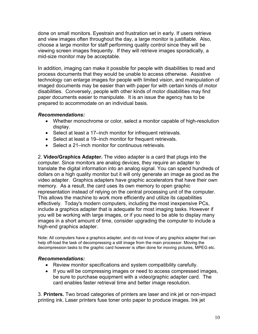done on small monitors. Eyestrain and frustration set in early. If users retrieve and view images often throughout the day, a large monitor is justifiable. Also, choose a large monitor for staff performing quality control since they will be viewing screen images frequently. If they will retrieve images sporadically, a mid-size monitor may be acceptable.

In addition, imaging can make it possible for people with disabilities to read and process documents that they would be unable to access otherwise. Assistive technology can enlarge images for people with limited vision, and manipulation of imaged documents may be easier than with paper for with certain kinds of motor disabilities. Conversely, people with other kinds of motor disabilities may find paper documents easier to manipulate. It is an issue the agency has to be prepared to accommodate on an individual basis.

## *Recommendations:*

- Whether monochrome or color, select a monitor capable of high-resolution display.
- Select at least a 17–inch monitor for infrequent retrievals.
- Select at least a 19–inch monitor for frequent retrievals.
- Select a 21–inch monitor for continuous retrievals.

2. **Video/Graphics Adapter.** The video adapter is a card that plugs into the computer. Since monitors are analog devices, they require an adapter to translate the digital information into an analog signal. You can spend hundreds of dollars on a high quality monitor but it will only generate an image as good as the video adapter. Graphics adapters have graphic accelerators that have their own memory. As a result, the card uses its own memory to open graphic representation instead of relying on the central processing unit of the computer. This allows the machine to work more efficiently and utilize its capabilities effectively. Today's modern computers, including the most inexpensive PCs, include a graphics adapter that is adequate for most imaging tasks. However if you will be working with large images, or if you need to be able to display many images in a short amount of time, consider upgrading the computer to include a high-end graphics adapter.

Note: All computers have a graphics adapter, and do not know of any graphics adapter that can help off-load the task of decompressing a still image from the main processor. Moving the decompression tasks to the graphic card however is often done for moving pictures, MPEG etc.

#### *Recommendations:*

- Review monitor specifications and system compatibility carefully.
- If you will be compressing images or need to access compressed images, be sure to purchase equipment with a video/graphic adapter card. The card enables faster retrieval time and better image resolution.

3. **Printers.** Two broad categories of printers are laser and ink jet or non-impact printing ink. Laser printers fuse toner onto paper to produce images. Ink jet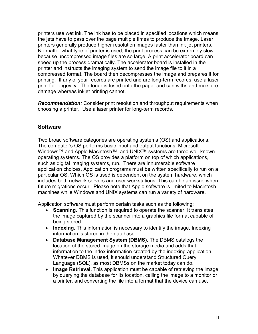<span id="page-10-0"></span>printers use wet ink. The ink has to be placed in specified locations which means the jets have to pass over the page multiple times to produce the image. Laser printers generally produce higher resolution images faster than ink jet printers. No matter what type of printer is used, the print process can be extremely slow because uncompressed image files are so large. A print accelerator board can speed up the process dramatically. The accelerator board is installed in the printer and instructs the imaging system to send the image file to it in a compressed format. The board then decompresses the image and prepares it for printing. If any of your records are printed and are long-term records, use a laser print for longevity. The toner is fused onto the paper and can withstand moisture damage whereas inkjet printing cannot.

*Recommendation:* Consider print resolution and throughput requirements when choosing a printer. Use a laser printer for long-term records.

# **Software**

Two broad software categories are operating systems (OS) and applications. The computer's OS performs basic input and output functions. Microsoft Windows™ and Apple Macintosh™ and UNIX™ systems are three well-known operating systems. The OS provides a platform on top of which applications, such as digital imaging systems, run. There are innumerable software application choices. Application programs must be written specifically to run on a particular OS. Which OS is used is dependent on the system hardware, which includes both network servers and user workstations. This can be an issue when future migrations occur. Please note that Apple software is limited to Macintosh machines while Windows and UNIX systems can run a variety of hardware.

Application software must perform certain tasks such as the following:

- **Scanning.** This function is required to operate the scanner. It translates the image captured by the scanner into a graphics file format capable of being stored.
- **Indexing.** This information is necessary to identify the image. Indexing information is stored in the database.
- **Database Management System (DBMS).** The DBMS catalogs the location of the stored image on the storage media and adds that information to the index information created by the indexing application. Whatever DBMS is used, it should understand Structured Query Language (SQL), as most DBMSs on the market today can do.
- **Image Retrieval.** This application must be capable of retrieving the image by querying the database for its location, calling the image to a monitor or a printer, and converting the file into a format that the device can use.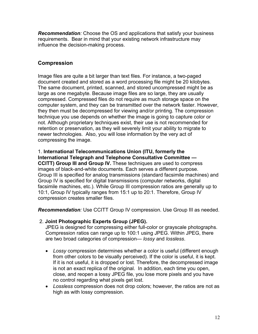<span id="page-11-0"></span>*Recommendation:* Choose the OS and applications that satisfy your business requirements. Bear in mind that your existing network infrastructure may influence the decision-making process.

# **Compression**

Image files are quite a bit larger than text files. For instance, a two-paged document created and stored as a word processing file might be 20 kilobytes. The same document, printed, scanned, and stored uncompressed might be as large as one megabyte. Because image files are so large, they are usually compressed. Compressed files do not require as much storage space on the computer system, and they can be transmitted over the network faster. However, they then must be decompressed for viewing and/or printing. The compression technique you use depends on whether the image is going to capture color or not. Although proprietary techniques exist, their use is not recommended for retention or preservation, as they will severely limit your ability to migrate to newer technologies. Also, you will lose information by the very act of compressing the image.

# 1. **International Telecommunications Union (ITU, formerly the International Telegraph and Telephone Consultative Committee —**

**CCITT) Group III and Group IV.** These techniques are used to compress images of black-and-white documents. Each serves a different purpose. Group III is specified for analog transmissions (standard facsimile machines) and Group IV is specified for digital transmissions (computer networks, digital facsimile machines, etc.). While Group III compression ratios are generally up to 10:1, Group IV typically ranges from 15:1 up to 20:1. Therefore, Group IV compression creates smaller files.

*Recommendation:* Use CCITT Group IV compression. Use Group III as needed.

## 2. **Joint Photographic Experts Group (JPEG).**

JPEG is designed for compressing either full-color or grayscale photographs. Compression ratios can range up to 100:1 using JPEG. Within JPEG, there are two broad categories of compression— *lossy* and *lossless*.

- *Lossy* compression determines whether a color is useful (different enough from other colors to be visually perceived). If the color is useful, it is kept. If it is not useful, it is dropped or lost. Therefore, the decompressed image is not an exact replica of the original. In addition, each time you open, close, and reopen a lossy JPEG file, you lose more pixels and you have no control regarding what pixels get lost.
- *Lossless* compression does not drop colors; however, the ratios are not as high as with lossy compression.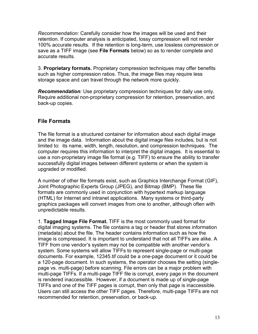<span id="page-12-0"></span>*Recommendation:* Carefully consider how the images will be used and their retention. If computer analysis is anticipated, lossy compression will not render 100% accurate results*.* If the retention is long-term, use lossless compression or save as a TIFF image (see **File Formats** below) so as to render complete and accurate results.

3. **Proprietary formats.** Proprietary compression techniques may offer benefits such as higher compression ratios. Thus, the image files may require less storage space and can travel through the network more quickly.

*Recommendation:* Use proprietary compression techniques for daily use only. Require additional non-proprietary compression for retention, preservation, and back-up copies.

# **File Formats**

The file format is a structured container for information about each digital image and the image data. Information about the digital image files includes, but is not limited to: its name, width, length, resolution, and compression techniques. The computer requires this information to interpret the digital images. It is essential to use a non-proprietary image file format (e.g. TIFF) to ensure the ability to transfer successfully digital images between different systems or when the system is upgraded or modified.

A number of other file formats exist, such as Graphics Interchange Format (GIF), Joint Photographic Experts Group (JPEG), and Bitmap (BMP). These file formats are commonly used in conjunction with hypertext markup language (HTML) for Internet and intranet applications. Many systems or third-party graphics packages will convert images from one to another, although often with unpredictable results.

1. **Tagged Image File Format.** TIFF is the most commonly used format for digital imaging systems. The file contains a tag or header that stores information (metadata) about the file. The header contains information such as how the image is compressed. It is important to understand that not all TIFFs are alike. A TIFF from one vendor's system may not be compatible with another vendor's system. Some systems will allow TIFFs to represent single-page or multi-page documents. For example, 12345.tif could be a one-page document or it could be a 120-page document. In such systems, the operator chooses the setting (singlepage vs. multi-page) before scanning. File errors can be a major problem with multi-page TIFFs. If a multi-page TIFF file is corrupt, every page in the document is rendered inaccessible. However, if a document is made up of single-page TIFFs and one of the TIFF pages is corrupt, then only that page is inaccessible. Users can still access the other TIFF pages. Therefore, multi-page TIFFs are not recommended for retention, preservation, or back-up.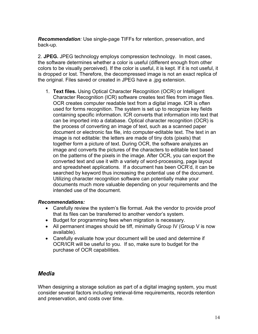<span id="page-13-0"></span>*Recommendation:* Use single-page TIFFs for retention, preservation, and back-up*.* 

2. **JPEG.** JPEG technology employs compression technology. In most cases, the software determines whether a color is useful (different enough from other colors to be visually perceived). If the color is useful, it is kept. If it is not useful, it is dropped or lost. Therefore, the decompressed image is not an exact replica of the original. Files saved or created in JPEG have a .jpg extension.

1. **Text files.** Using Optical Character Recognition (OCR) or Intelligent Character Recognition (ICR) software creates text files from image files. OCR creates computer readable text from a digital image. ICR is often used for forms recognition. The system is set up to recognize key fields containing specific information. ICR converts that information into text that can be imported into a database. Optical character recognition (OCR) is the process of converting an image of text, such as a scanned paper document or electronic fax file, into computer-editable text. The text in an image is not editable: the letters are made of tiny dots (pixels) that together form a picture of text. During OCR, the software analyzes an image and converts the pictures of the characters to editable text based on the patterns of the pixels in the image. After OCR, you can export the converted text and use it with a variety of word-processing, page layout and spreadsheet applications. If a document has been OCR'd, it can be searched by keyword thus increasing the potential use of the document. Utilizing character recognition software can potentially make your documents much more valuable depending on your requirements and the intended use of the document.

## *Recommendations:*

- Carefully review the system's file format. Ask the vendor to provide proof that its files can be transferred to another vendor's system.
- Budget for programming fees when migration is necessary.
- All permanent images should be tiff, minimally Group IV (Group V is now available).
- Carefully evaluate how your document will be used and determine if OCR/ICR will be useful to you. If so, make sure to budget for the purchase of OCR capabilities.

# *Media*

When designing a storage solution as part of a digital imaging system, you must consider several factors including retrieval-time requirements, records retention and preservation, and costs over time.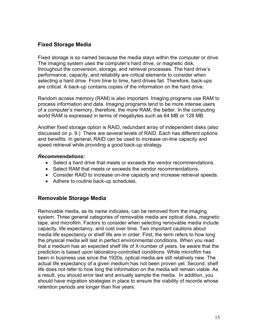# <span id="page-14-0"></span>**Fixed Storage Media**

Fixed storage is so named because the media stays within the computer or drive. The imaging system uses the computer's hard drive, or magnetic disk, throughout the conversion, storage, and retrieval processes. The hard drive's performance, capacity, and reliability are critical elements to consider when selecting a hard drive. From time to time, hard drives fail. Therefore, back-ups are critical. A back-up contains copies of the information on the hard drive.

Random access memory (RAM) is also important. Imaging programs use RAM to process information and data. Imaging programs tend to be more intense users of a computer's memory, therefore, the more RAM, the better. In the computing world RAM is expressed in terms of megabytes such as 64 MB or 128 MB.

Another fixed storage option is RAID, redundant array of independent disks (also discussed on p. 9.) There are several levels of RAID. Each has different options and benefits. In general, RAID can be used to increase on-line capacity and speed retrieval while providing a good back-up strategy.

#### *Recommendations:*

- Select a hard drive that meets or exceeds the vendor recommendations.
- Select RAM that meets or exceeds the vendor recommendations.
- Consider RAID to increase on-line capacity and increase retrieval speeds.
- Adhere to routine back-up schedules.

# **Removable Storage Media**

Removable media, as its name indicates, can be removed from the imaging system. Three general categories of removable media are optical disks, magnetic tape, and microfilm. Factors to consider when selecting removable media include capacity, life expectancy, and cost over time. Two important cautions about media life expectancy or shelf life are in order. First, the term refers to how long the physical media will last in perfect environmental conditions. When you read that a medium has an expected shelf life of X-number of years, be aware that the prediction is based upon laboratory-controlled conditions. While microfilm has been in business use since the 1920s, optical media are still relatively new. The actual life expectancy of a given medium has not been proven yet. Second, shelf life does not refer to how long the information on the media will remain viable. As a result, you should error test and annually sample the media. In addition, you should have migration strategies in place to ensure the viability of records whose retention periods are longer than five years.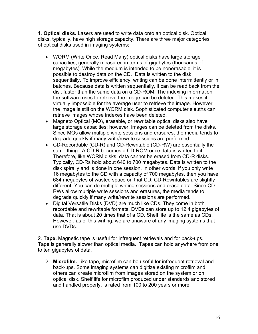1. **Optical disks.** Lasers are used to write data onto an optical disk. Optical disks, typically, have high storage capacity. There are three major categories of optical disks used in imaging systems:

- WORM (Write Once, Read Many) optical disks have large storage capacities, generally measured in terms of gigabytes (thousands of megabytes). While the medium is intended to be nonerasable, it is possible to destroy data on the CD. Data is written to the disk sequentially. To improve efficiency, writing can be done intermittently or in batches. Because data is written sequentially, it can be read back from the disk faster than the same data on a CD-ROM. The indexing information the software uses to retrieve the image can be deleted. This makes it virtually impossible for the average user to retrieve the image. However, the image is still on the WORM disk. Sophisticated computer sleuths can retrieve images whose indexes have been deleted.
- Magneto Optical (MO), erasable, or rewritable optical disks also have large storage capacities; however, images can be deleted from the disks. Since MOs allow multiple write sessions and erasures, the media tends to degrade quickly if many write/rewrite sessions are performed.
- CD-Recordable (CD-R) and CD-Rewritable (CD-RW) are essentially the same thing. A CD-R becomes a CD-ROM once data is written to it. Therefore, like WORM disks, data cannot be erased from CD-R disks. Typically, CD-Rs hold about 640 to 700 megabytes. Data is written to the disk spirally and is done in one session. In other words, if you only write 16 megabytes to the CD with a capacity of 700 megabytes, then you have 684 megabytes of wasted space on that CD. CD-Rewritables are slightly different. You can do multiple writing sessions and erase data. Since CD-RWs allow multiple write sessions and erasures, the media tends to degrade quickly if many write/rewrite sessions are performed.
- Digital Versatile Disks (DVD) are much like CDs. They come in both recordable and rewritable formats. DVDs can store up to 12.4 gigabytes of data. That is about 20 times that of a CD. Shelf life is the same as CDs. However, as of this writing, we are unaware of any imaging systems that use DVDs.

2. **Tape.** Magnetic tape is useful for infrequent retrievals and for back-ups. Tape is generally slower than optical media. Tapes can hold anywhere from one to ten gigabytes of data.

2. **Microfilm.** Like tape, microfilm can be useful for infrequent retrieval and back-ups. Some imaging systems can digitize existing microfilm and others can create microfilm from images stored on the system or on optical disk. Shelf life for microfilm produced under standards and stored and handled properly, is rated from 100 to 200 years or more.